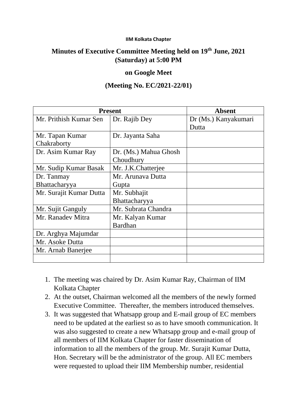## **IIM Kolkata Chapter**

## **Minutes of Executive Committee Meeting held on 19th June, 2021 (Saturday) at 5:00 PM**

## **on Google Meet**

## **(Meeting No. EC/2021-22/01)**

| <b>Present</b>          |                       | <b>Absent</b>        |
|-------------------------|-----------------------|----------------------|
| Mr. Prithish Kumar Sen  | Dr. Rajib Dey         | Dr (Ms.) Kanyakumari |
|                         |                       | Dutta                |
| Mr. Tapan Kumar         | Dr. Jayanta Saha      |                      |
| Chakraborty             |                       |                      |
| Dr. Asim Kumar Ray      | Dr. (Ms.) Mahua Ghosh |                      |
|                         | Choudhury             |                      |
| Mr. Sudip Kumar Basak   | Mr. J.K.Chatterjee    |                      |
| Dr. Tanmay              | Mr. Arunava Dutta     |                      |
| Bhattacharyya           | Gupta                 |                      |
| Mr. Surajit Kumar Dutta | Mr. Subhajit          |                      |
|                         | Bhattacharyya         |                      |
| Mr. Sujit Ganguly       | Mr. Subrata Chandra   |                      |
| Mr. Ranadev Mitra       | Mr. Kalyan Kumar      |                      |
|                         | <b>Bardhan</b>        |                      |
| Dr. Arghya Majumdar     |                       |                      |
| Mr. Asoke Dutta         |                       |                      |
| Mr. Arnab Banerjee      |                       |                      |
|                         |                       |                      |

- 1. The meeting was chaired by Dr. Asim Kumar Ray, Chairman of IIM Kolkata Chapter
- 2. At the outset, Chairman welcomed all the members of the newly formed Executive Committee. Thereafter, the members introduced themselves.
- 3. It was suggested that Whatsapp group and E-mail group of EC members need to be updated at the earliest so as to have smooth communication. It was also suggested to create a new Whatsapp group and e-mail group of all members of IIM Kolkata Chapter for faster dissemination of information to all the members of the group. Mr. Surajit Kumar Dutta, Hon. Secretary will be the administrator of the group. All EC members were requested to upload their IIM Membership number, residential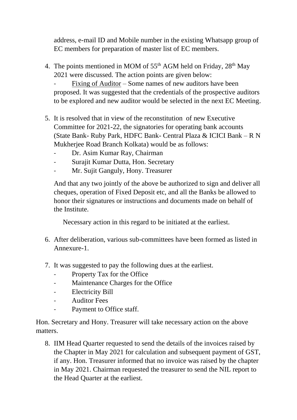address, e-mail ID and Mobile number in the existing Whatsapp group of EC members for preparation of master list of EC members.

4. The points mentioned in MOM of  $55<sup>th</sup>$  AGM held on Friday,  $28<sup>th</sup>$  May 2021 were discussed. The action points are given below:

Fixing of Auditor – Some names of new auditors have been proposed. It was suggested that the credentials of the prospective auditors to be explored and new auditor would be selected in the next EC Meeting.

- 5. It is resolved that in view of the reconstitution of new Executive Committee for 2021-22, the signatories for operating bank accounts (State Bank- Ruby Park, HDFC Bank- Central Plaza & ICICI Bank – R N Mukherjee Road Branch Kolkata) would be as follows:
	- Dr. Asim Kumar Ray, Chairman
	- Surajit Kumar Dutta, Hon. Secretary
	- Mr. Sujit Ganguly, Hony. Treasurer

And that any two jointly of the above be authorized to sign and deliver all cheques, operation of Fixed Deposit etc, and all the Banks be allowed to honor their signatures or instructions and documents made on behalf of the Institute.

Necessary action in this regard to be initiated at the earliest.

- 6. After deliberation, various sub-committees have been formed as listed in Annexure-1.
- 7. It was suggested to pay the following dues at the earliest.
	- Property Tax for the Office
	- Maintenance Charges for the Office
	- Electricity Bill
	- Auditor Fees
	- Payment to Office staff.

Hon. Secretary and Hony. Treasurer will take necessary action on the above matters.

8. IIM Head Quarter requested to send the details of the invoices raised by the Chapter in May 2021 for calculation and subsequent payment of GST, if any. Hon. Treasurer informed that no invoice was raised by the chapter in May 2021. Chairman requested the treasurer to send the NIL report to the Head Quarter at the earliest.